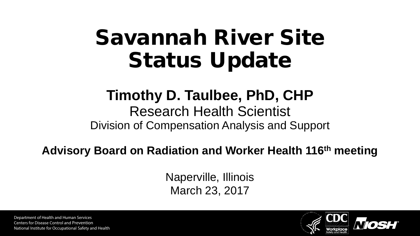# Savannah River Site Status Update

#### **Timothy D. Taulbee, PhD, CHP**

#### Research Health Scientist Division of Compensation Analysis and Support

#### **Advisory Board on Radiation and Worker Health 116th meeting**

Naperville, Illinois March 23, 2017

Department of Health and Human Services Centers for Disease Control and Prevention National Institute for Occupational Safety and Health

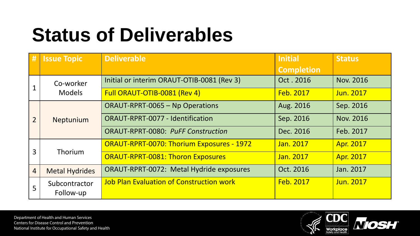## **Status of Deliverables**

| #              | <b>Issue Topic</b>         | <b>Deliverable</b>                              | <b>Initial</b>    | <b>Status</b>    |
|----------------|----------------------------|-------------------------------------------------|-------------------|------------------|
|                |                            |                                                 | <b>Completion</b> |                  |
|                | Co-worker<br><b>Models</b> | Initial or interim ORAUT-OTIB-0081 (Rev 3)      | Oct. 2016         | Nov. 2016        |
|                |                            | Full ORAUT-OTIB-0081 (Rev 4)                    | Feb. 2017         | Jun. 2017        |
| $\overline{2}$ | Neptunium                  | <b>ORAUT-RPRT-0065 - Np Operations</b>          | Aug. 2016         | Sep. 2016        |
|                |                            | <b>ORAUT-RPRT-0077 - Identification</b>         | Sep. 2016         | Nov. 2016        |
|                |                            | <b>ORAUT-RPRT-0080: PuFF Construction</b>       | Dec. 2016         | Feb. 2017        |
| 3              | Thorium                    | ORAUT-RPRT-0070: Thorium Exposures - 1972       | Jan. 2017         | <b>Apr. 2017</b> |
|                |                            | <b>ORAUT-RPRT-0081: Thoron Exposures</b>        | Jan. 2017         | Apr. 2017        |
| $\overline{4}$ | <b>Metal Hydrides</b>      | ORAUT-RPRT-0072: Metal Hydride exposures        | Oct. 2016         | Jan. 2017        |
| 5              | Subcontractor              | <b>Job Plan Evaluation of Construction work</b> | <b>Feb. 2017</b>  | Jun. 2017        |
|                | Follow-up                  |                                                 |                   |                  |

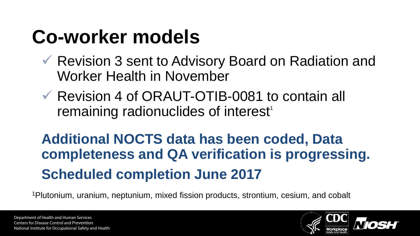## **Co-worker models**

- Revision 3 sent to Advisory Board on Radiation and Worker Health in November
- Revision 4 of ORAUT-OTIB-0081 to contain all remaining radionuclides of interest<sup>1</sup>

### **Additional NOCTS data has been coded, Data completeness and QA verification is progressing. Scheduled completion June 2017**

1Plutonium, uranium, neptunium, mixed fission products, strontium, cesium, and cobalt

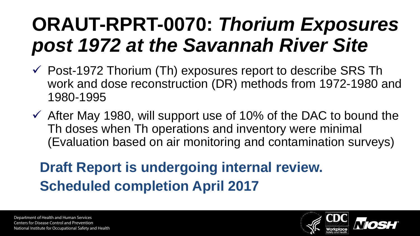## **ORAUT-RPRT-0070:** *Thorium Exposures post 1972 at the Savannah River Site*

- $\checkmark$  Post-1972 Thorium (Th) exposures report to describe SRS Th work and dose reconstruction (DR) methods from 1972-1980 and 1980-1995
- $\checkmark$  After May 1980, will support use of 10% of the DAC to bound the Th doses when Th operations and inventory were minimal (Evaluation based on air monitoring and contamination surveys)

### **Draft Report is undergoing internal review. Scheduled completion April 2017**

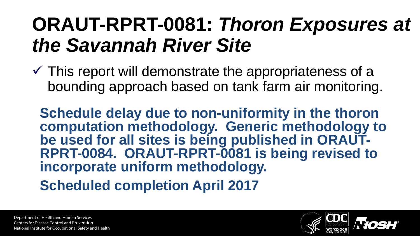### **ORAUT-RPRT-0081:** *Thoron Exposures at the Savannah River Site*

 $\checkmark$  This report will demonstrate the appropriateness of a bounding approach based on tank farm air monitoring.

**Schedule delay due to non-uniformity in the thoron computation methodology. Generic methodology to BERT-0084. ORAUT-RPRT-0081 is being revised to incorporate uniform methodology.** 

**Scheduled completion April 2017**